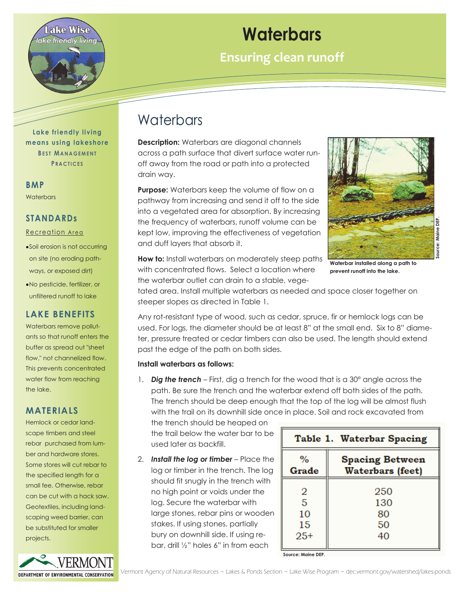

**Lake friendly living means using lakeshore BEST MANAGEMENT P R A C T I C E S**

**BMP Waterbars** 

**STANDARDs**  Recreation Area

Soil erosion is not occurring on site (no eroding pathways, or exposed dirt) No pesticide, fertilizer, or unfiltered runoff to lake

**LAKE BENEFITS**  Waterbars remove pollutants so that runoff enters the buffer as spread out "sheet flow," not channelized flow. This prevents concentrated water flow from reaching

## **Waterbars**

**Ensuring clean runoff** 

## Waterbars

**Description:** Waterbars are diagonal channels across a path surface that divert surface water runoff away from the road or path into a protected drain way.

**Purpose:** Waterbars keep the volume of flow on a pathway from increasing and send it off to the side into a vegetated area for absorption. By increasing the frequency of waterbars, runoff volume can be kept low, improving the effectiveness of vegetation and duff layers that absorb it.



**Waterbar installed along a path to prevent runoff into the lake.**

**How to:** Install waterbars on moderately steep paths with concentrated flows. Select a location where the waterbar outlet can drain to a stable, vege-

tated area. Install multiple waterbars as needed and space closer together on steeper slopes as directed in Table 1.

Any rot-resistant type of wood, such as cedar, spruce, fir or hemlock logs can be used. For logs, the diameter should be at least 8" at the small end. Six to 8" diameter, pressure treated or cedar timbers can also be used. The length should extend past the edge of the path on both sides.

## **Install waterbars as follows:**

1. **Dig the trench** – First, dig a trench for the wood that is a 30° angle across the path. Be sure the trench and the waterbar extend off both sides of the path. The trench should be deep enough that the top of the log will be almost flush with the trail on its downhill side once in place. Soil and rock excavated from

the trench should be heaped on the trail below the water bar to be used later as backfill.

2. **Install the log or timber** – Place the log or timber in the trench. The log should fit snugly in the trench with no high point or voids under the log. Secure the waterbar with large stones, rebar pins or wooden stakes. If using stones, partially bury on downhill side. If using rebar, drill ½" holes 6" in from each

| Table 1. Waterbar Spacing |                                                   |
|---------------------------|---------------------------------------------------|
| $\%$<br>Grade             | <b>Spacing Between</b><br><b>Waterbars</b> (feet) |
| 2                         | 250                                               |
| 5                         | 130                                               |
| 10                        | 80                                                |
| 15                        | 50                                                |
| $25+$                     | 40                                                |

**Source: Maine DEP.**



the lake.

**MATERIALS** 

Hemlock or cedar landscape timbers and steel rebar purchased from lumber and hardware stores. Some stores will cut rebar to the specified length for a

can be cut with a hack saw. Geotextiles, including landscaping weed barrier, can be substituted for smaller projects.